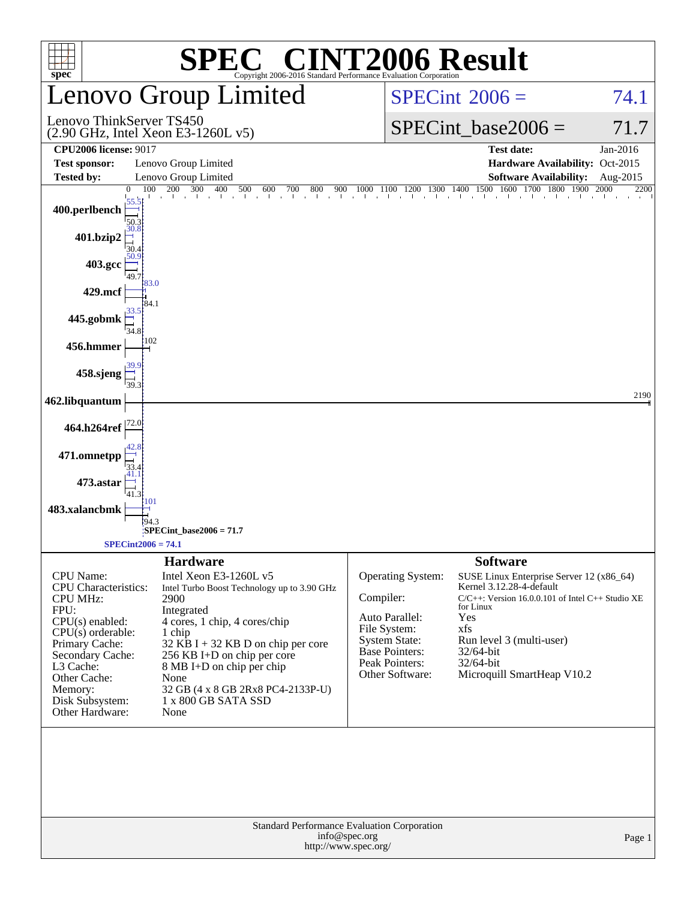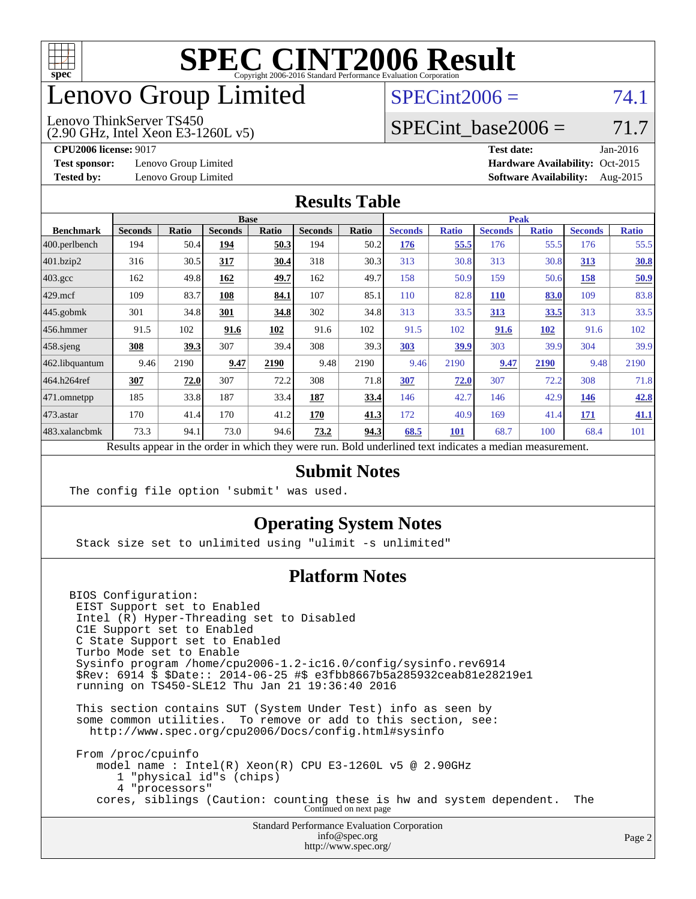

### enovo Group Limited

### $SPECint2006 = 74.1$  $SPECint2006 = 74.1$

(2.90 GHz, Intel Xeon E3-1260L v5) Lenovo ThinkServer TS450

SPECint base2006 =  $71.7$ 

**[Test sponsor:](http://www.spec.org/auto/cpu2006/Docs/result-fields.html#Testsponsor)** Lenovo Group Limited **[Hardware Availability:](http://www.spec.org/auto/cpu2006/Docs/result-fields.html#HardwareAvailability)** Oct-2015

**[CPU2006 license:](http://www.spec.org/auto/cpu2006/Docs/result-fields.html#CPU2006license)** 9017 **[Test date:](http://www.spec.org/auto/cpu2006/Docs/result-fields.html#Testdate)** Jan-2016 **[Tested by:](http://www.spec.org/auto/cpu2006/Docs/result-fields.html#Testedby)** Lenovo Group Limited **[Software Availability:](http://www.spec.org/auto/cpu2006/Docs/result-fields.html#SoftwareAvailability)** Aug-2015

### **[Results Table](http://www.spec.org/auto/cpu2006/Docs/result-fields.html#ResultsTable)**

|                                                                                                          | <b>Base</b>    |              |                |              |                |       | <b>Peak</b>    |              |                |              |                |              |
|----------------------------------------------------------------------------------------------------------|----------------|--------------|----------------|--------------|----------------|-------|----------------|--------------|----------------|--------------|----------------|--------------|
| <b>Benchmark</b>                                                                                         | <b>Seconds</b> | <b>Ratio</b> | <b>Seconds</b> | <b>Ratio</b> | <b>Seconds</b> | Ratio | <b>Seconds</b> | <b>Ratio</b> | <b>Seconds</b> | <b>Ratio</b> | <b>Seconds</b> | <b>Ratio</b> |
| 400.perlbench                                                                                            | 194            | 50.4         | 194            | 50.3         | 194            | 50.2  | 176            | 55.5         | 176            | 55.5         | 176            | 55.5         |
| 401.bzip2                                                                                                | 316            | 30.5         | 317            | 30.4         | 318            | 30.3  | 313            | 30.8         | 313            | 30.8         | 313            | 30.8         |
| $403.\mathrm{gcc}$                                                                                       | 162            | 49.8         | 162            | 49.7         | 162            | 49.7  | 158            | 50.9         | 159            | 50.6         | 158            | 50.9         |
| $429$ mcf                                                                                                | 109            | 83.7         | 108            | 84.1         | 107            | 85.1  | 110            | 82.8         | 110            | 83.0         | 109            | 83.8         |
| $445$ .gobmk                                                                                             | 301            | 34.8         | 301            | 34.8         | 302            | 34.8  | 313            | 33.5         | 313            | <u>33.5</u>  | 313            | 33.5         |
| $456.$ hmmer                                                                                             | 91.5           | 102          | 91.6           | 102          | 91.6           | 102   | 91.5           | 102          | 91.6           | 102          | 91.6           | 102          |
| $458$ .sjeng                                                                                             | 308            | 39.3         | 307            | 39.4         | 308            | 39.3  | 303            | 39.9         | 303            | 39.9         | 304            | 39.9         |
| 462.libquantum                                                                                           | 9.46           | 2190         | 9.47           | 2190         | 9.48           | 2190  | 9.46           | 2190         | 9.47           | 2190         | 9.48           | 2190         |
| 464.h264ref                                                                                              | 307            | 72.0         | 307            | 72.2         | 308            | 71.8  | 307            | 72.0         | 307            | 72.2         | 308            | 71.8         |
| $ 471$ .omnetpp                                                                                          | 185            | 33.8         | 187            | 33.4         | 187            | 33.4  | 146            | 42.7         | 146            | 42.9         | 146            | 42.8         |
| $473$ . astar                                                                                            | 170            | 41.4         | 170            | 41.2         | 170            | 41.3  | 172            | 40.9         | 169            | 41.4         | 171            | 41.1         |
| 483.xalancbmk                                                                                            | 73.3           | 94.1         | 73.0           | 94.6         | 73.2           | 94.3  | 68.5           | 101          | 68.7           | 100          | 68.4           | 101          |
| Results appear in the order in which they were run. Bold underlined text indicates a median measurement. |                |              |                |              |                |       |                |              |                |              |                |              |

### **[Submit Notes](http://www.spec.org/auto/cpu2006/Docs/result-fields.html#SubmitNotes)**

The config file option 'submit' was used.

### **[Operating System Notes](http://www.spec.org/auto/cpu2006/Docs/result-fields.html#OperatingSystemNotes)**

Stack size set to unlimited using "ulimit -s unlimited"

### **[Platform Notes](http://www.spec.org/auto/cpu2006/Docs/result-fields.html#PlatformNotes)**

BIOS Configuration: EIST Support set to Enabled Intel (R) Hyper-Threading set to Disabled C1E Support set to Enabled C State Support set to Enabled Turbo Mode set to Enable Sysinfo program /home/cpu2006-1.2-ic16.0/config/sysinfo.rev6914 \$Rev: 6914 \$ \$Date:: 2014-06-25 #\$ e3fbb8667b5a285932ceab81e28219e1 running on TS450-SLE12 Thu Jan 21 19:36:40 2016 This section contains SUT (System Under Test) info as seen by some common utilities. To remove or add to this section, see: <http://www.spec.org/cpu2006/Docs/config.html#sysinfo>

 From /proc/cpuinfo model name : Intel(R) Xeon(R) CPU E3-1260L v5 @ 2.90GHz 1 "physical id"s (chips) 4 "processors" cores, siblings (Caution: counting these is hw and system dependent. The Continued on next page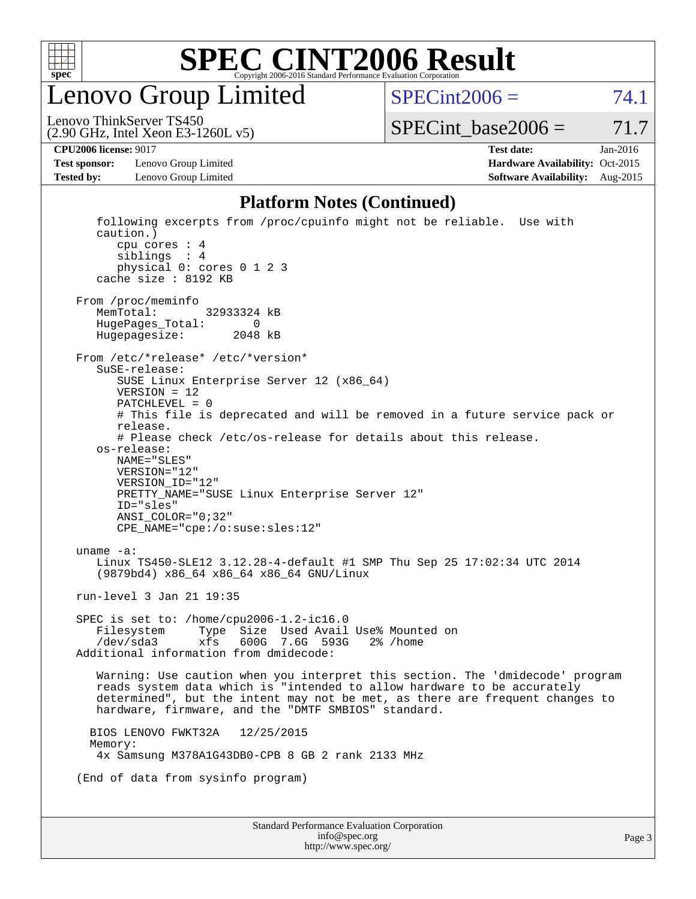

enovo Group Limited

 $SPECint2006 = 74.1$  $SPECint2006 = 74.1$ 

(2.90 GHz, Intel Xeon E3-1260L v5) Lenovo ThinkServer TS450

 $SPECTnt\_base2006 = 71.7$ 

**[Test sponsor:](http://www.spec.org/auto/cpu2006/Docs/result-fields.html#Testsponsor)** Lenovo Group Limited **[Hardware Availability:](http://www.spec.org/auto/cpu2006/Docs/result-fields.html#HardwareAvailability)** Oct-2015

**[CPU2006 license:](http://www.spec.org/auto/cpu2006/Docs/result-fields.html#CPU2006license)** 9017 **[Test date:](http://www.spec.org/auto/cpu2006/Docs/result-fields.html#Testdate)** Jan-2016 **[Tested by:](http://www.spec.org/auto/cpu2006/Docs/result-fields.html#Testedby)** Lenovo Group Limited **[Software Availability:](http://www.spec.org/auto/cpu2006/Docs/result-fields.html#SoftwareAvailability)** Aug-2015

#### **[Platform Notes \(Continued\)](http://www.spec.org/auto/cpu2006/Docs/result-fields.html#PlatformNotes)**

Standard Performance Evaluation Corporation following excerpts from /proc/cpuinfo might not be reliable. Use with caution.) cpu cores : 4 siblings : 4 physical 0: cores 0 1 2 3 cache size : 8192 KB From /proc/meminfo MemTotal: 32933324 kB HugePages\_Total: 0<br>Hugepagesize: 2048 kB Hugepagesize: From /etc/\*release\* /etc/\*version\* SuSE-release: SUSE Linux Enterprise Server 12 (x86\_64) VERSION = 12 PATCHLEVEL = 0 # This file is deprecated and will be removed in a future service pack or release. # Please check /etc/os-release for details about this release. os-release: NAME="SLES" VERSION="12" VERSION\_ID="12" PRETTY NAME="SUSE Linux Enterprise Server 12" ID="sles" ANSI\_COLOR="0;32" CPE\_NAME="cpe:/o:suse:sles:12" uname -a: Linux TS450-SLE12 3.12.28-4-default #1 SMP Thu Sep 25 17:02:34 UTC 2014 (9879bd4) x86\_64 x86\_64 x86\_64 GNU/Linux run-level 3 Jan 21 19:35 SPEC is set to: /home/cpu2006-1.2-ic16.0 Filesystem Type Size Used Avail Use% Mounted on /dev/sda3 xfs 600G 7.6G 593G 2% /home Additional information from dmidecode: Warning: Use caution when you interpret this section. The 'dmidecode' program reads system data which is "intended to allow hardware to be accurately determined", but the intent may not be met, as there are frequent changes to hardware, firmware, and the "DMTF SMBIOS" standard. BIOS LENOVO FWKT32A 12/25/2015 Memory: 4x Samsung M378A1G43DB0-CPB 8 GB 2 rank 2133 MHz (End of data from sysinfo program)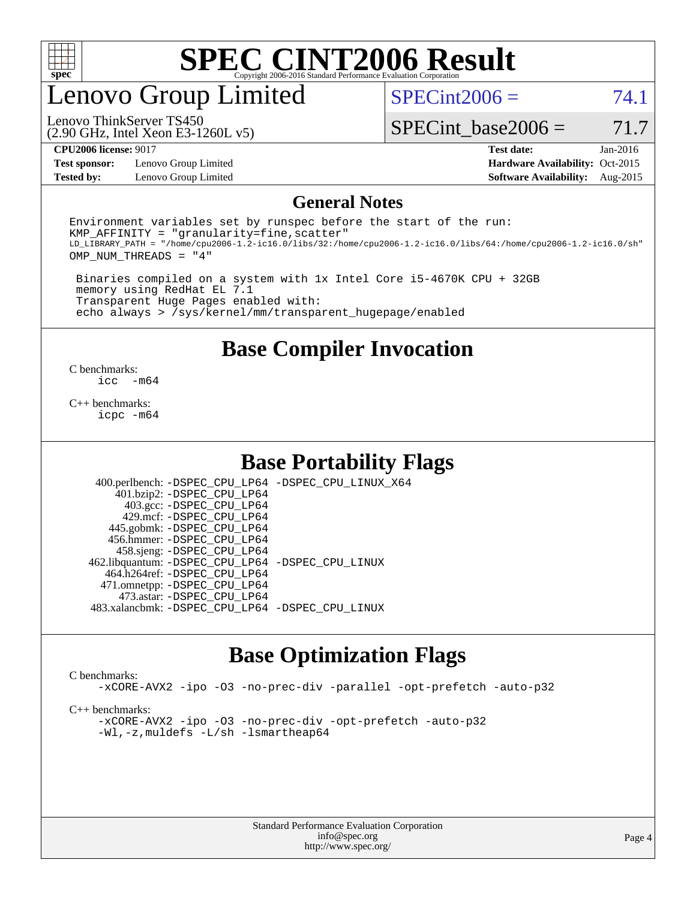

### enovo Group Limited

 $SPECint2006 = 74.1$  $SPECint2006 = 74.1$ 

(2.90 GHz, Intel Xeon E3-1260L v5) Lenovo ThinkServer TS450

SPECint base2006 =  $71.7$ 

**[Test sponsor:](http://www.spec.org/auto/cpu2006/Docs/result-fields.html#Testsponsor)** Lenovo Group Limited **[Hardware Availability:](http://www.spec.org/auto/cpu2006/Docs/result-fields.html#HardwareAvailability)** Oct-2015

**[CPU2006 license:](http://www.spec.org/auto/cpu2006/Docs/result-fields.html#CPU2006license)** 9017 **[Test date:](http://www.spec.org/auto/cpu2006/Docs/result-fields.html#Testdate)** Jan-2016 **[Tested by:](http://www.spec.org/auto/cpu2006/Docs/result-fields.html#Testedby)** Lenovo Group Limited **[Software Availability:](http://www.spec.org/auto/cpu2006/Docs/result-fields.html#SoftwareAvailability)** Aug-2015

### **[General Notes](http://www.spec.org/auto/cpu2006/Docs/result-fields.html#GeneralNotes)**

Environment variables set by runspec before the start of the run:  $KMP$  AFFINITY = "granularity=fine, scatter" LD\_LIBRARY\_PATH = "/home/cpu2006-1.2-ic16.0/libs/32:/home/cpu2006-1.2-ic16.0/libs/64:/home/cpu2006-1.2-ic16.0/sh" OMP\_NUM\_THREADS = "4"

 Binaries compiled on a system with 1x Intel Core i5-4670K CPU + 32GB memory using RedHat EL 7.1 Transparent Huge Pages enabled with: echo always > /sys/kernel/mm/transparent\_hugepage/enabled

**[Base Compiler Invocation](http://www.spec.org/auto/cpu2006/Docs/result-fields.html#BaseCompilerInvocation)**

 $\frac{C \text{ benchmarks:}}{C \text{ C}}$ -m64

[C++ benchmarks:](http://www.spec.org/auto/cpu2006/Docs/result-fields.html#CXXbenchmarks) [icpc -m64](http://www.spec.org/cpu2006/results/res2016q1/cpu2006-20160125-38905.flags.html#user_CXXbase_intel_icpc_64bit_fc66a5337ce925472a5c54ad6a0de310)

### **[Base Portability Flags](http://www.spec.org/auto/cpu2006/Docs/result-fields.html#BasePortabilityFlags)**

 400.perlbench: [-DSPEC\\_CPU\\_LP64](http://www.spec.org/cpu2006/results/res2016q1/cpu2006-20160125-38905.flags.html#b400.perlbench_basePORTABILITY_DSPEC_CPU_LP64) [-DSPEC\\_CPU\\_LINUX\\_X64](http://www.spec.org/cpu2006/results/res2016q1/cpu2006-20160125-38905.flags.html#b400.perlbench_baseCPORTABILITY_DSPEC_CPU_LINUX_X64) 401.bzip2: [-DSPEC\\_CPU\\_LP64](http://www.spec.org/cpu2006/results/res2016q1/cpu2006-20160125-38905.flags.html#suite_basePORTABILITY401_bzip2_DSPEC_CPU_LP64) 403.gcc: [-DSPEC\\_CPU\\_LP64](http://www.spec.org/cpu2006/results/res2016q1/cpu2006-20160125-38905.flags.html#suite_basePORTABILITY403_gcc_DSPEC_CPU_LP64) 429.mcf: [-DSPEC\\_CPU\\_LP64](http://www.spec.org/cpu2006/results/res2016q1/cpu2006-20160125-38905.flags.html#suite_basePORTABILITY429_mcf_DSPEC_CPU_LP64) 445.gobmk: [-DSPEC\\_CPU\\_LP64](http://www.spec.org/cpu2006/results/res2016q1/cpu2006-20160125-38905.flags.html#suite_basePORTABILITY445_gobmk_DSPEC_CPU_LP64) 456.hmmer: [-DSPEC\\_CPU\\_LP64](http://www.spec.org/cpu2006/results/res2016q1/cpu2006-20160125-38905.flags.html#suite_basePORTABILITY456_hmmer_DSPEC_CPU_LP64) 458.sjeng: [-DSPEC\\_CPU\\_LP64](http://www.spec.org/cpu2006/results/res2016q1/cpu2006-20160125-38905.flags.html#suite_basePORTABILITY458_sjeng_DSPEC_CPU_LP64) 462.libquantum: [-DSPEC\\_CPU\\_LP64](http://www.spec.org/cpu2006/results/res2016q1/cpu2006-20160125-38905.flags.html#suite_basePORTABILITY462_libquantum_DSPEC_CPU_LP64) [-DSPEC\\_CPU\\_LINUX](http://www.spec.org/cpu2006/results/res2016q1/cpu2006-20160125-38905.flags.html#b462.libquantum_baseCPORTABILITY_DSPEC_CPU_LINUX) 464.h264ref: [-DSPEC\\_CPU\\_LP64](http://www.spec.org/cpu2006/results/res2016q1/cpu2006-20160125-38905.flags.html#suite_basePORTABILITY464_h264ref_DSPEC_CPU_LP64) 471.omnetpp: [-DSPEC\\_CPU\\_LP64](http://www.spec.org/cpu2006/results/res2016q1/cpu2006-20160125-38905.flags.html#suite_basePORTABILITY471_omnetpp_DSPEC_CPU_LP64) 473.astar: [-DSPEC\\_CPU\\_LP64](http://www.spec.org/cpu2006/results/res2016q1/cpu2006-20160125-38905.flags.html#suite_basePORTABILITY473_astar_DSPEC_CPU_LP64) 483.xalancbmk: [-DSPEC\\_CPU\\_LP64](http://www.spec.org/cpu2006/results/res2016q1/cpu2006-20160125-38905.flags.html#suite_basePORTABILITY483_xalancbmk_DSPEC_CPU_LP64) [-DSPEC\\_CPU\\_LINUX](http://www.spec.org/cpu2006/results/res2016q1/cpu2006-20160125-38905.flags.html#b483.xalancbmk_baseCXXPORTABILITY_DSPEC_CPU_LINUX)

### **[Base Optimization Flags](http://www.spec.org/auto/cpu2006/Docs/result-fields.html#BaseOptimizationFlags)**

#### [C benchmarks](http://www.spec.org/auto/cpu2006/Docs/result-fields.html#Cbenchmarks):

[-xCORE-AVX2](http://www.spec.org/cpu2006/results/res2016q1/cpu2006-20160125-38905.flags.html#user_CCbase_f-xAVX2_5f5fc0cbe2c9f62c816d3e45806c70d7) [-ipo](http://www.spec.org/cpu2006/results/res2016q1/cpu2006-20160125-38905.flags.html#user_CCbase_f-ipo) [-O3](http://www.spec.org/cpu2006/results/res2016q1/cpu2006-20160125-38905.flags.html#user_CCbase_f-O3) [-no-prec-div](http://www.spec.org/cpu2006/results/res2016q1/cpu2006-20160125-38905.flags.html#user_CCbase_f-no-prec-div) [-parallel](http://www.spec.org/cpu2006/results/res2016q1/cpu2006-20160125-38905.flags.html#user_CCbase_f-parallel) [-opt-prefetch](http://www.spec.org/cpu2006/results/res2016q1/cpu2006-20160125-38905.flags.html#user_CCbase_f-opt-prefetch) [-auto-p32](http://www.spec.org/cpu2006/results/res2016q1/cpu2006-20160125-38905.flags.html#user_CCbase_f-auto-p32)

[C++ benchmarks:](http://www.spec.org/auto/cpu2006/Docs/result-fields.html#CXXbenchmarks)

[-xCORE-AVX2](http://www.spec.org/cpu2006/results/res2016q1/cpu2006-20160125-38905.flags.html#user_CXXbase_f-xAVX2_5f5fc0cbe2c9f62c816d3e45806c70d7) [-ipo](http://www.spec.org/cpu2006/results/res2016q1/cpu2006-20160125-38905.flags.html#user_CXXbase_f-ipo) [-O3](http://www.spec.org/cpu2006/results/res2016q1/cpu2006-20160125-38905.flags.html#user_CXXbase_f-O3) [-no-prec-div](http://www.spec.org/cpu2006/results/res2016q1/cpu2006-20160125-38905.flags.html#user_CXXbase_f-no-prec-div) [-opt-prefetch](http://www.spec.org/cpu2006/results/res2016q1/cpu2006-20160125-38905.flags.html#user_CXXbase_f-opt-prefetch) [-auto-p32](http://www.spec.org/cpu2006/results/res2016q1/cpu2006-20160125-38905.flags.html#user_CXXbase_f-auto-p32) [-Wl,-z,muldefs](http://www.spec.org/cpu2006/results/res2016q1/cpu2006-20160125-38905.flags.html#user_CXXbase_link_force_multiple1_74079c344b956b9658436fd1b6dd3a8a) [-L/sh -lsmartheap64](http://www.spec.org/cpu2006/results/res2016q1/cpu2006-20160125-38905.flags.html#user_CXXbase_SmartHeap64_ed4ef857ce90951921efb0d91eb88472)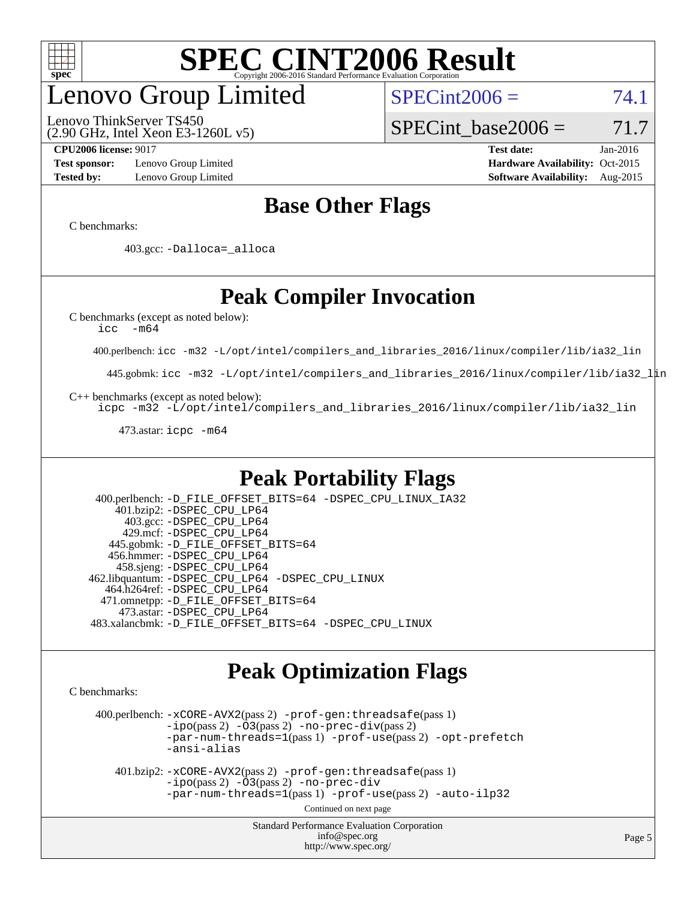

### enovo Group Limited

(2.90 GHz, Intel Xeon E3-1260L v5) Lenovo ThinkServer TS450

 $SPECint2006 = 74.1$  $SPECint2006 = 74.1$ 

SPECint base2006 =  $71.7$ 

**[Test sponsor:](http://www.spec.org/auto/cpu2006/Docs/result-fields.html#Testsponsor)** Lenovo Group Limited **[Hardware Availability:](http://www.spec.org/auto/cpu2006/Docs/result-fields.html#HardwareAvailability)** Oct-2015

**[CPU2006 license:](http://www.spec.org/auto/cpu2006/Docs/result-fields.html#CPU2006license)** 9017 **[Test date:](http://www.spec.org/auto/cpu2006/Docs/result-fields.html#Testdate)** Jan-2016 **[Tested by:](http://www.spec.org/auto/cpu2006/Docs/result-fields.html#Testedby)** Lenovo Group Limited **[Software Availability:](http://www.spec.org/auto/cpu2006/Docs/result-fields.html#SoftwareAvailability)** Aug-2015

### **[Base Other Flags](http://www.spec.org/auto/cpu2006/Docs/result-fields.html#BaseOtherFlags)**

[C benchmarks](http://www.spec.org/auto/cpu2006/Docs/result-fields.html#Cbenchmarks):

403.gcc: [-Dalloca=\\_alloca](http://www.spec.org/cpu2006/results/res2016q1/cpu2006-20160125-38905.flags.html#b403.gcc_baseEXTRA_CFLAGS_Dalloca_be3056838c12de2578596ca5467af7f3)

### **[Peak Compiler Invocation](http://www.spec.org/auto/cpu2006/Docs/result-fields.html#PeakCompilerInvocation)**

[C benchmarks \(except as noted below\)](http://www.spec.org/auto/cpu2006/Docs/result-fields.html#Cbenchmarksexceptasnotedbelow):

[icc -m64](http://www.spec.org/cpu2006/results/res2016q1/cpu2006-20160125-38905.flags.html#user_CCpeak_intel_icc_64bit_f346026e86af2a669e726fe758c88044)

400.perlbench: [icc -m32 -L/opt/intel/compilers\\_and\\_libraries\\_2016/linux/compiler/lib/ia32\\_lin](http://www.spec.org/cpu2006/results/res2016q1/cpu2006-20160125-38905.flags.html#user_peakCCLD400_perlbench_intel_icc_e10256ba5924b668798078a321b0cb3f)

445.gobmk: [icc -m32 -L/opt/intel/compilers\\_and\\_libraries\\_2016/linux/compiler/lib/ia32\\_lin](http://www.spec.org/cpu2006/results/res2016q1/cpu2006-20160125-38905.flags.html#user_peakCCLD445_gobmk_intel_icc_e10256ba5924b668798078a321b0cb3f)

[C++ benchmarks \(except as noted below\):](http://www.spec.org/auto/cpu2006/Docs/result-fields.html#CXXbenchmarksexceptasnotedbelow)

[icpc -m32 -L/opt/intel/compilers\\_and\\_libraries\\_2016/linux/compiler/lib/ia32\\_lin](http://www.spec.org/cpu2006/results/res2016q1/cpu2006-20160125-38905.flags.html#user_CXXpeak_intel_icpc_b4f50a394bdb4597aa5879c16bc3f5c5)

473.astar: [icpc -m64](http://www.spec.org/cpu2006/results/res2016q1/cpu2006-20160125-38905.flags.html#user_peakCXXLD473_astar_intel_icpc_64bit_fc66a5337ce925472a5c54ad6a0de310)

### **[Peak Portability Flags](http://www.spec.org/auto/cpu2006/Docs/result-fields.html#PeakPortabilityFlags)**

 400.perlbench: [-D\\_FILE\\_OFFSET\\_BITS=64](http://www.spec.org/cpu2006/results/res2016q1/cpu2006-20160125-38905.flags.html#user_peakPORTABILITY400_perlbench_file_offset_bits_64_438cf9856305ebd76870a2c6dc2689ab) [-DSPEC\\_CPU\\_LINUX\\_IA32](http://www.spec.org/cpu2006/results/res2016q1/cpu2006-20160125-38905.flags.html#b400.perlbench_peakCPORTABILITY_DSPEC_CPU_LINUX_IA32) 401.bzip2: [-DSPEC\\_CPU\\_LP64](http://www.spec.org/cpu2006/results/res2016q1/cpu2006-20160125-38905.flags.html#suite_peakPORTABILITY401_bzip2_DSPEC_CPU_LP64) 403.gcc: [-DSPEC\\_CPU\\_LP64](http://www.spec.org/cpu2006/results/res2016q1/cpu2006-20160125-38905.flags.html#suite_peakPORTABILITY403_gcc_DSPEC_CPU_LP64) 429.mcf: [-DSPEC\\_CPU\\_LP64](http://www.spec.org/cpu2006/results/res2016q1/cpu2006-20160125-38905.flags.html#suite_peakPORTABILITY429_mcf_DSPEC_CPU_LP64) 445.gobmk: [-D\\_FILE\\_OFFSET\\_BITS=64](http://www.spec.org/cpu2006/results/res2016q1/cpu2006-20160125-38905.flags.html#user_peakPORTABILITY445_gobmk_file_offset_bits_64_438cf9856305ebd76870a2c6dc2689ab) 456.hmmer: [-DSPEC\\_CPU\\_LP64](http://www.spec.org/cpu2006/results/res2016q1/cpu2006-20160125-38905.flags.html#suite_peakPORTABILITY456_hmmer_DSPEC_CPU_LP64) 458.sjeng: [-DSPEC\\_CPU\\_LP64](http://www.spec.org/cpu2006/results/res2016q1/cpu2006-20160125-38905.flags.html#suite_peakPORTABILITY458_sjeng_DSPEC_CPU_LP64) 462.libquantum: [-DSPEC\\_CPU\\_LP64](http://www.spec.org/cpu2006/results/res2016q1/cpu2006-20160125-38905.flags.html#suite_peakPORTABILITY462_libquantum_DSPEC_CPU_LP64) [-DSPEC\\_CPU\\_LINUX](http://www.spec.org/cpu2006/results/res2016q1/cpu2006-20160125-38905.flags.html#b462.libquantum_peakCPORTABILITY_DSPEC_CPU_LINUX) 464.h264ref: [-DSPEC\\_CPU\\_LP64](http://www.spec.org/cpu2006/results/res2016q1/cpu2006-20160125-38905.flags.html#suite_peakPORTABILITY464_h264ref_DSPEC_CPU_LP64) 471.omnetpp: [-D\\_FILE\\_OFFSET\\_BITS=64](http://www.spec.org/cpu2006/results/res2016q1/cpu2006-20160125-38905.flags.html#user_peakPORTABILITY471_omnetpp_file_offset_bits_64_438cf9856305ebd76870a2c6dc2689ab) 473.astar: [-DSPEC\\_CPU\\_LP64](http://www.spec.org/cpu2006/results/res2016q1/cpu2006-20160125-38905.flags.html#suite_peakPORTABILITY473_astar_DSPEC_CPU_LP64) 483.xalancbmk: [-D\\_FILE\\_OFFSET\\_BITS=64](http://www.spec.org/cpu2006/results/res2016q1/cpu2006-20160125-38905.flags.html#user_peakPORTABILITY483_xalancbmk_file_offset_bits_64_438cf9856305ebd76870a2c6dc2689ab) [-DSPEC\\_CPU\\_LINUX](http://www.spec.org/cpu2006/results/res2016q1/cpu2006-20160125-38905.flags.html#b483.xalancbmk_peakCXXPORTABILITY_DSPEC_CPU_LINUX)

### **[Peak Optimization Flags](http://www.spec.org/auto/cpu2006/Docs/result-fields.html#PeakOptimizationFlags)**

[C benchmarks](http://www.spec.org/auto/cpu2006/Docs/result-fields.html#Cbenchmarks):

 400.perlbench: [-xCORE-AVX2](http://www.spec.org/cpu2006/results/res2016q1/cpu2006-20160125-38905.flags.html#user_peakPASS2_CFLAGSPASS2_LDCFLAGS400_perlbench_f-xAVX2_5f5fc0cbe2c9f62c816d3e45806c70d7)(pass 2) [-prof-gen:threadsafe](http://www.spec.org/cpu2006/results/res2016q1/cpu2006-20160125-38905.flags.html#user_peakPASS1_CFLAGSPASS1_LDCFLAGS400_perlbench_prof_gen_21a26eb79f378b550acd7bec9fe4467a)(pass 1)  $-i\text{po}(pass 2) -\tilde{O}3(pass 2)$  [-no-prec-div](http://www.spec.org/cpu2006/results/res2016q1/cpu2006-20160125-38905.flags.html#user_peakPASS2_CFLAGSPASS2_LDCFLAGS400_perlbench_f-no-prec-div)(pass 2) [-par-num-threads=1](http://www.spec.org/cpu2006/results/res2016q1/cpu2006-20160125-38905.flags.html#user_peakPASS1_CFLAGSPASS1_LDCFLAGS400_perlbench_par_num_threads_786a6ff141b4e9e90432e998842df6c2)(pass 1) [-prof-use](http://www.spec.org/cpu2006/results/res2016q1/cpu2006-20160125-38905.flags.html#user_peakPASS2_CFLAGSPASS2_LDCFLAGS400_perlbench_prof_use_bccf7792157ff70d64e32fe3e1250b55)(pass 2) [-opt-prefetch](http://www.spec.org/cpu2006/results/res2016q1/cpu2006-20160125-38905.flags.html#user_peakCOPTIMIZE400_perlbench_f-opt-prefetch) [-ansi-alias](http://www.spec.org/cpu2006/results/res2016q1/cpu2006-20160125-38905.flags.html#user_peakCOPTIMIZE400_perlbench_f-ansi-alias)

 401.bzip2: [-xCORE-AVX2](http://www.spec.org/cpu2006/results/res2016q1/cpu2006-20160125-38905.flags.html#user_peakPASS2_CFLAGSPASS2_LDCFLAGS401_bzip2_f-xAVX2_5f5fc0cbe2c9f62c816d3e45806c70d7)(pass 2) [-prof-gen:threadsafe](http://www.spec.org/cpu2006/results/res2016q1/cpu2006-20160125-38905.flags.html#user_peakPASS1_CFLAGSPASS1_LDCFLAGS401_bzip2_prof_gen_21a26eb79f378b550acd7bec9fe4467a)(pass 1)  $-i\text{po}(pass 2) -\overline{O}3(pass 2)$  [-no-prec-div](http://www.spec.org/cpu2006/results/res2016q1/cpu2006-20160125-38905.flags.html#user_peakCOPTIMIZEPASS2_CFLAGSPASS2_LDCFLAGS401_bzip2_f-no-prec-div) [-par-num-threads=1](http://www.spec.org/cpu2006/results/res2016q1/cpu2006-20160125-38905.flags.html#user_peakPASS1_CFLAGSPASS1_LDCFLAGS401_bzip2_par_num_threads_786a6ff141b4e9e90432e998842df6c2)(pass 1) [-prof-use](http://www.spec.org/cpu2006/results/res2016q1/cpu2006-20160125-38905.flags.html#user_peakPASS2_CFLAGSPASS2_LDCFLAGS401_bzip2_prof_use_bccf7792157ff70d64e32fe3e1250b55)(pass 2) [-auto-ilp32](http://www.spec.org/cpu2006/results/res2016q1/cpu2006-20160125-38905.flags.html#user_peakCOPTIMIZE401_bzip2_f-auto-ilp32)

Continued on next page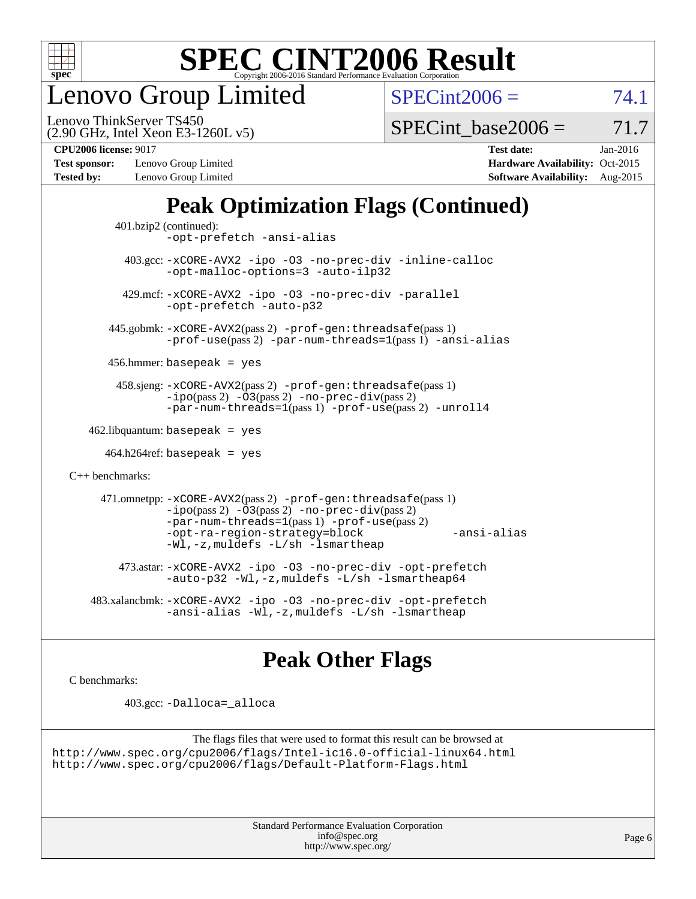

enovo Group Limited

 $SPECint2006 = 74.1$  $SPECint2006 = 74.1$ 

(2.90 GHz, Intel Xeon E3-1260L v5) Lenovo ThinkServer TS450

SPECint base2006 =  $71.7$ 

**[Test sponsor:](http://www.spec.org/auto/cpu2006/Docs/result-fields.html#Testsponsor)** Lenovo Group Limited **[Hardware Availability:](http://www.spec.org/auto/cpu2006/Docs/result-fields.html#HardwareAvailability)** Oct-2015 **[Tested by:](http://www.spec.org/auto/cpu2006/Docs/result-fields.html#Testedby)** Lenovo Group Limited **[Software Availability:](http://www.spec.org/auto/cpu2006/Docs/result-fields.html#SoftwareAvailability)** Aug-2015

**[CPU2006 license:](http://www.spec.org/auto/cpu2006/Docs/result-fields.html#CPU2006license)** 9017 **[Test date:](http://www.spec.org/auto/cpu2006/Docs/result-fields.html#Testdate)** Jan-2016

### **[Peak Optimization Flags \(Continued\)](http://www.spec.org/auto/cpu2006/Docs/result-fields.html#PeakOptimizationFlags)**

```
 401.bzip2 (continued):
                -opt-prefetch -ansi-alias
          403.gcc: -xCORE-AVX2 -ipo -O3 -no-prec-div -inline-calloc
                -opt-malloc-options=3 -auto-ilp32
         429.mcf: -xCORE-AVX2 -ipo -O3 -no-prec-div -parallel
                -opt-prefetch -auto-p32
       445.gobmk: -xCORE-AVX2(pass 2) -prof-gen:threadsafe(pass 1)
                -prof-use(pass 2) -par-num-threads=1(pass 1) -ansi-alias
       456.hmmer: basepeak = yes
        458.sjeng: -xCORE-AVX2(pass 2) -prof-gen:threadsafe(pass 1)
                -i\text{po}(pass 2) -\tilde{O}3(pass 2)-no-prec-div(pass 2)
                -par-num-threads=1(pass 1) -prof-use(pass 2) -unroll4
   462.libquantum: basepeak = yes
     464.h264ref: basepeak = yes
C++ benchmarks: 
      471.omnetpp: -xCORE-AVX2(pass 2) -prof-gen:threadsafe(pass 1)
                -i\text{po}(pass 2) -\overline{O}3(pass 2) -no-\overline{prec}\-div(pass 2)-par-num-threads=1(pass 1) -prof-use(pass 2)
                -opt-ra-region-strategy=block -ansi-alias
                -Wl,-z,muldefs -L/sh -lsmartheap
         473.astar: -xCORE-AVX2 -ipo -O3 -no-prec-div -opt-prefetch
                -auto-p32 -Wl,-z,muldefs -L/sh -lsmartheap64
    483.xalancbmk: -xCORE-AVX2 -ipo -O3 -no-prec-div -opt-prefetch
                -ansi-alias -Wl,-z,muldefs -L/sh -lsmartheap
```
### **[Peak Other Flags](http://www.spec.org/auto/cpu2006/Docs/result-fields.html#PeakOtherFlags)**

[C benchmarks](http://www.spec.org/auto/cpu2006/Docs/result-fields.html#Cbenchmarks):

403.gcc: [-Dalloca=\\_alloca](http://www.spec.org/cpu2006/results/res2016q1/cpu2006-20160125-38905.flags.html#b403.gcc_peakEXTRA_CFLAGS_Dalloca_be3056838c12de2578596ca5467af7f3)

```
The flags files that were used to format this result can be browsed at
http://www.spec.org/cpu2006/flags/Intel-ic16.0-official-linux64.html
http://www.spec.org/cpu2006/flags/Default-Platform-Flags.html
```